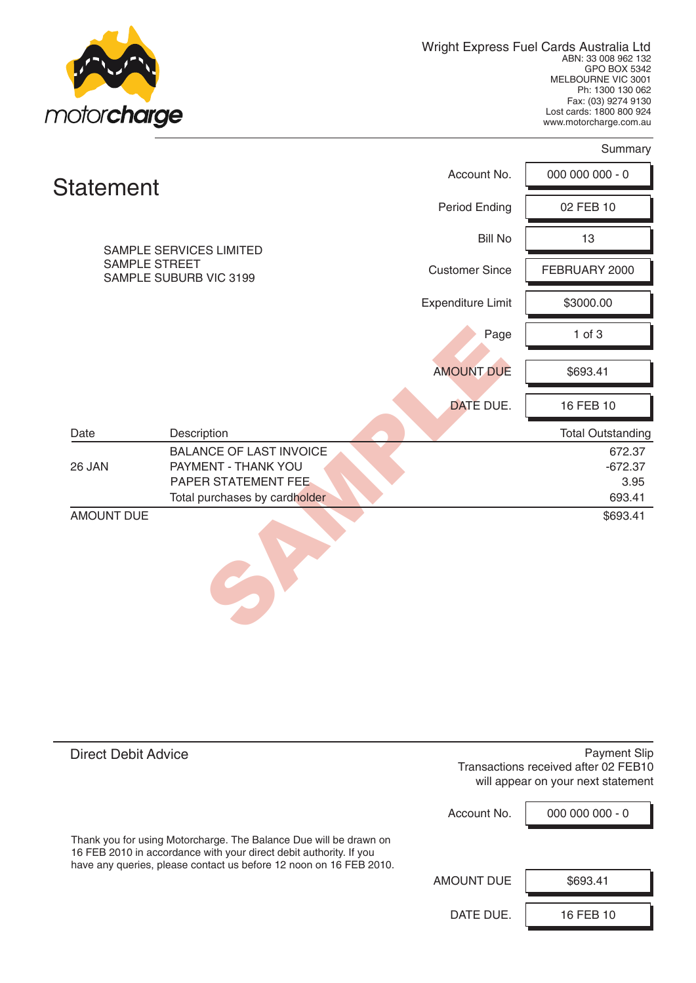

|                   |                                                                                                                      |                          | Summary                               |  |  |
|-------------------|----------------------------------------------------------------------------------------------------------------------|--------------------------|---------------------------------------|--|--|
| <b>Statement</b>  | 000 000 000 - 0                                                                                                      |                          |                                       |  |  |
|                   |                                                                                                                      | <b>Period Ending</b>     | 02 FEB 10                             |  |  |
|                   | <b>SAMPLE SERVICES LIMITED</b>                                                                                       | <b>Bill No</b>           | 13                                    |  |  |
|                   | <b>SAMPLE STREET</b><br>SAMPLE SUBURB VIC 3199                                                                       | <b>Customer Since</b>    | FEBRUARY 2000                         |  |  |
|                   |                                                                                                                      | <b>Expenditure Limit</b> | \$3000.00                             |  |  |
|                   |                                                                                                                      | Page                     | $1$ of $3$                            |  |  |
|                   |                                                                                                                      | <b>AMOUNT DUE</b>        | \$693.41                              |  |  |
|                   |                                                                                                                      | DATE DUE.                | 16 FEB 10                             |  |  |
| Date              | Description                                                                                                          |                          | <b>Total Outstanding</b>              |  |  |
| 26 JAN            | <b>BALANCE OF LAST INVOICE</b><br>PAYMENT - THANK YOU<br><b>PAPER STATEMENT FEE</b><br>Total purchases by cardholder |                          | 672.37<br>$-672.37$<br>3.95<br>693.41 |  |  |
| <b>AMOUNT DUE</b> |                                                                                                                      |                          | \$693.41                              |  |  |

| <b>Direct Debit Advice</b>                                                                                                                                                                                    |             | <b>Payment Slip</b><br>Transactions received after 02 FEB10<br>will appear on your next statement |  |  |  |
|---------------------------------------------------------------------------------------------------------------------------------------------------------------------------------------------------------------|-------------|---------------------------------------------------------------------------------------------------|--|--|--|
|                                                                                                                                                                                                               | Account No. | $000000000 - 0$                                                                                   |  |  |  |
| Thank you for using Motorcharge. The Balance Due will be drawn on<br>16 FEB 2010 in accordance with your direct debit authority. If you<br>have any queries, please contact us before 12 noon on 16 FEB 2010. |             |                                                                                                   |  |  |  |
|                                                                                                                                                                                                               | AMOUNT DUE  | \$693.41                                                                                          |  |  |  |
|                                                                                                                                                                                                               | DATE DUE.   | 16 FEB 10                                                                                         |  |  |  |
|                                                                                                                                                                                                               |             |                                                                                                   |  |  |  |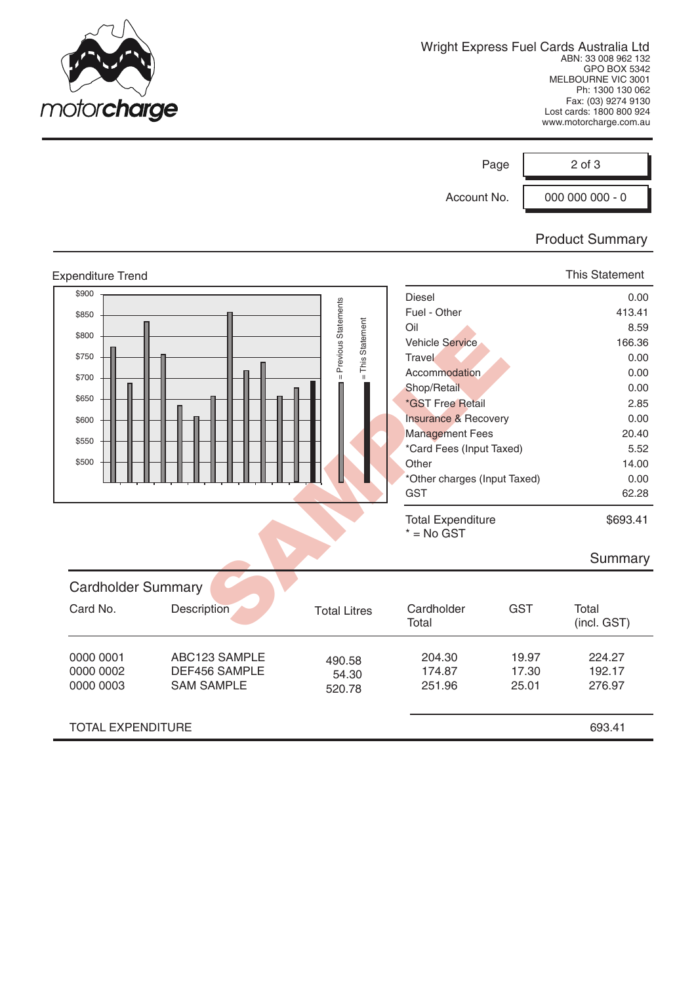

|                           |                                |                       | Page                                     | $2$ of $3$   |                        |  |
|---------------------------|--------------------------------|-----------------------|------------------------------------------|--------------|------------------------|--|
|                           | Account No.<br>000 000 000 - 0 |                       |                                          |              |                        |  |
|                           |                                |                       |                                          |              | <b>Product Summary</b> |  |
| <b>Expenditure Trend</b>  |                                |                       |                                          |              | This Statement         |  |
| \$900                     |                                |                       | <b>Diesel</b>                            |              | 0.00                   |  |
| \$850                     |                                | = Previous Statements | Fuel - Other                             | 413.41       |                        |  |
|                           |                                | = This Statement      | Oil                                      | 8.59         |                        |  |
| \$800                     |                                |                       | <b>Vehicle Service</b>                   | 166.36       |                        |  |
| \$750                     |                                |                       | Travel                                   | 0.00<br>0.00 |                        |  |
| \$700                     |                                |                       | <b>Accommodation</b>                     |              |                        |  |
| \$650                     |                                |                       | Shop/Retail                              | 0.00         |                        |  |
|                           |                                |                       | *GST Free Retail                         | 2.85<br>0.00 |                        |  |
| \$600                     |                                |                       | <b>Insurance &amp; Recovery</b>          |              |                        |  |
| \$550                     |                                |                       | <b>Management Fees</b>                   | 20.40        |                        |  |
| \$500                     |                                |                       | *Card Fees (Input Taxed)<br>Other        |              | 5.52<br>14.00          |  |
|                           |                                |                       | *Other charges (Input Taxed)             | 0.00         |                        |  |
|                           |                                |                       | <b>GST</b>                               | 62.28        |                        |  |
|                           |                                |                       | <b>Total Expenditure</b><br>$* = No GST$ |              | \$693.41               |  |
|                           |                                |                       |                                          |              | Summary                |  |
| <b>Cardholder Summary</b> |                                |                       |                                          |              |                        |  |
| Card No.                  | Description                    | <b>Total Litres</b>   | Cardholder<br>Total                      | <b>GST</b>   | Total<br>(incl. GST)   |  |
| 0000 0001                 | ABC123 SAMPLE                  | 490.58                | 204.30                                   | 19.97        | 224.27                 |  |
| 0000 0002                 | DEF456 SAMPLE                  | 54.30                 | 174.87                                   | 17.30        | 192.17                 |  |
| 0000 0003                 | <b>SAM SAMPLE</b><br>520.78    |                       | 251.96                                   | 25.01        | 276.97                 |  |
| <b>TOTAL EXPENDITURE</b>  |                                |                       |                                          |              | 693.41                 |  |